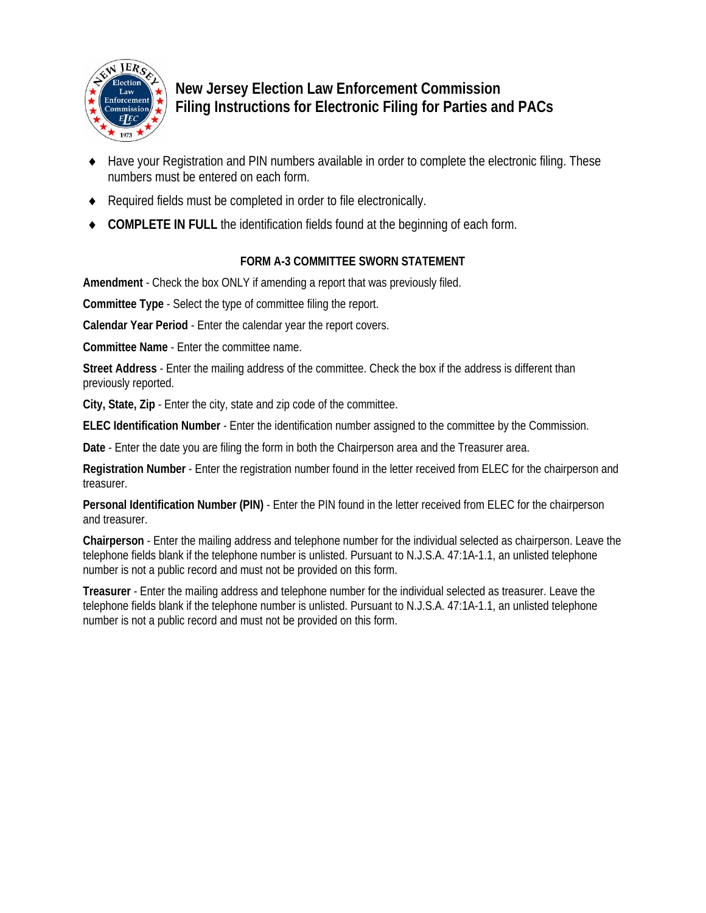

# **New Jersey Election Law Enforcement Commission Filing Instructions for Electronic Filing for Parties and PACs**

- Have your Registration and PIN numbers available in order to complete the electronic filing. These numbers must be entered on each form.
- Required fields must be completed in order to file electronically.
- **COMPLETE IN FULL** the identification fields found at the beginning of each form.

## **FORM A-3 COMMITTEE SWORN STATEMENT**

**Amendment** - Check the box ONLY if amending a report that was previously filed.

**Committee Type** - Select the type of committee filing the report.

**Calendar Year Period** - Enter the calendar year the report covers.

**Committee Name** - Enter the committee name.

**Street Address** - Enter the mailing address of the committee. Check the box if the address is different than previously reported.

**City, State, Zip** - Enter the city, state and zip code of the committee.

**ELEC Identification Number** - Enter the identification number assigned to the committee by the Commission.

**Date** - Enter the date you are filing the form in both the Chairperson area and the Treasurer area.

**Registration Number** - Enter the registration number found in the letter received from ELEC for the chairperson and treasurer.

**Personal Identification Number (PIN)** - Enter the PIN found in the letter received from ELEC for the chairperson and treasurer.

**Chairperson** - Enter the mailing address and telephone number for the individual selected as chairperson. Leave the telephone fields blank if the telephone number is unlisted. Pursuant to N.J.S.A. 47:1A-1.1, an unlisted telephone number is not a public record and must not be provided on this form.

**Treasurer** - Enter the mailing address and telephone number for the individual selected as treasurer. Leave the telephone fields blank if the telephone number is unlisted. Pursuant to N.J.S.A. 47:1A-1.1, an unlisted telephone number is not a public record and must not be provided on this form.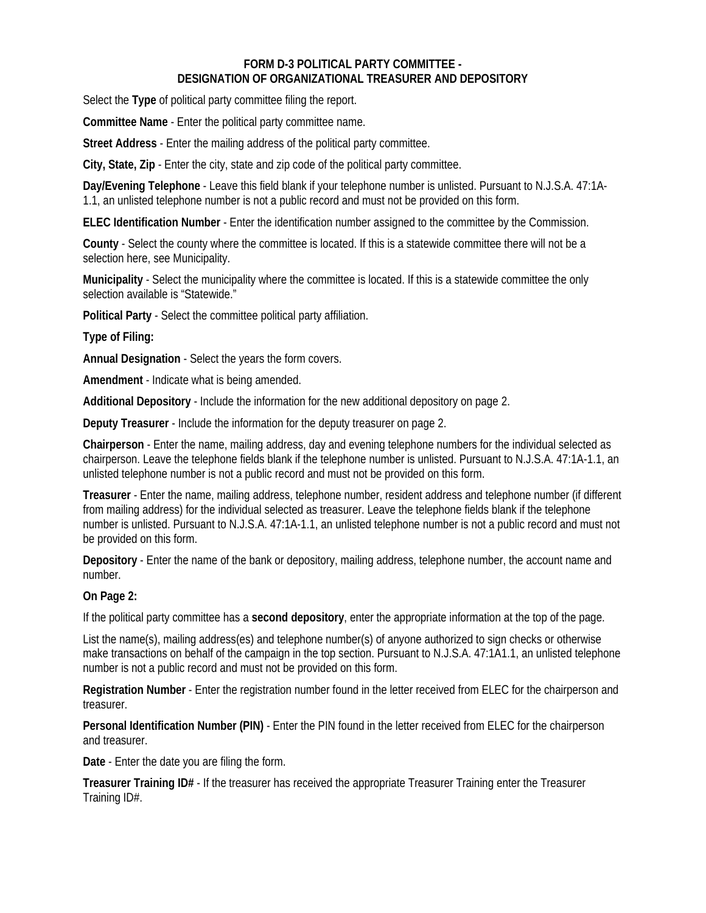#### **FORM D-3 POLITICAL PARTY COMMITTEE - DESIGNATION OF ORGANIZATIONAL TREASURER AND DEPOSITORY**

Select the **Type** of political party committee filing the report.

**Committee Name** - Enter the political party committee name.

**Street Address** - Enter the mailing address of the political party committee.

**City, State, Zip** - Enter the city, state and zip code of the political party committee.

**Day/Evening Telephone** - Leave this field blank if your telephone number is unlisted. Pursuant to N.J.S.A. 47:1A-1.1, an unlisted telephone number is not a public record and must not be provided on this form.

**ELEC Identification Number** - Enter the identification number assigned to the committee by the Commission.

**County** - Select the county where the committee is located. If this is a statewide committee there will not be a selection here, see Municipality.

**Municipality** - Select the municipality where the committee is located. If this is a statewide committee the only selection available is "Statewide."

**Political Party** - Select the committee political party affiliation.

**Type of Filing:** 

**Annual Designation** - Select the years the form covers.

**Amendment** - Indicate what is being amended.

**Additional Depository** - Include the information for the new additional depository on page 2.

**Deputy Treasurer** - Include the information for the deputy treasurer on page 2.

**Chairperson** - Enter the name, mailing address, day and evening telephone numbers for the individual selected as chairperson. Leave the telephone fields blank if the telephone number is unlisted. Pursuant to N.J.S.A. 47:1A-1.1, an unlisted telephone number is not a public record and must not be provided on this form.

**Treasurer** - Enter the name, mailing address, telephone number, resident address and telephone number (if different from mailing address) for the individual selected as treasurer. Leave the telephone fields blank if the telephone number is unlisted. Pursuant to N.J.S.A. 47:1A-1.1, an unlisted telephone number is not a public record and must not be provided on this form.

**Depository** - Enter the name of the bank or depository, mailing address, telephone number, the account name and number.

## **On Page 2:**

If the political party committee has a **second depository**, enter the appropriate information at the top of the page.

List the name(s), mailing address(es) and telephone number(s) of anyone authorized to sign checks or otherwise make transactions on behalf of the campaign in the top section. Pursuant to N.J.S.A. 47:1A1.1, an unlisted telephone number is not a public record and must not be provided on this form.

**Registration Number** - Enter the registration number found in the letter received from ELEC for the chairperson and treasurer.

**Personal Identification Number (PIN)** - Enter the PIN found in the letter received from ELEC for the chairperson and treasurer.

**Date** - Enter the date you are filing the form.

**Treasurer Training ID#** - If the treasurer has received the appropriate Treasurer Training enter the Treasurer Training ID#.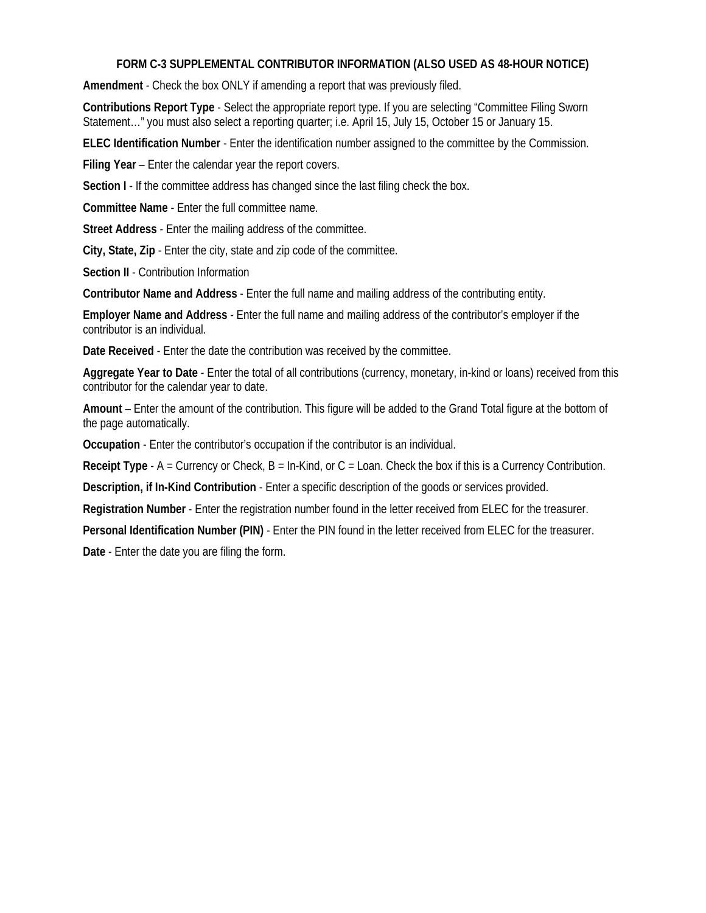#### **FORM C-3 SUPPLEMENTAL CONTRIBUTOR INFORMATION (ALSO USED AS 48-HOUR NOTICE)**

**Amendment** - Check the box ONLY if amending a report that was previously filed.

**Contributions Report Type** - Select the appropriate report type. If you are selecting "Committee Filing Sworn Statement…" you must also select a reporting quarter; i.e. April 15, July 15, October 15 or January 15.

**ELEC Identification Number** - Enter the identification number assigned to the committee by the Commission.

**Filing Year** – Enter the calendar year the report covers.

**Section I** - If the committee address has changed since the last filing check the box.

**Committee Name** - Enter the full committee name.

**Street Address** - Enter the mailing address of the committee.

**City, State, Zip** - Enter the city, state and zip code of the committee.

**Section II** - Contribution Information

**Contributor Name and Address** - Enter the full name and mailing address of the contributing entity.

**Employer Name and Address** - Enter the full name and mailing address of the contributor's employer if the contributor is an individual.

**Date Received** - Enter the date the contribution was received by the committee.

**Aggregate Year to Date** - Enter the total of all contributions (currency, monetary, in-kind or loans) received from this contributor for the calendar year to date.

**Amount** – Enter the amount of the contribution. This figure will be added to the Grand Total figure at the bottom of the page automatically.

**Occupation** - Enter the contributor's occupation if the contributor is an individual.

**Receipt Type** - A = Currency or Check, B = In-Kind, or C = Loan. Check the box if this is a Currency Contribution.

**Description, if In-Kind Contribution** - Enter a specific description of the goods or services provided.

**Registration Number** - Enter the registration number found in the letter received from ELEC for the treasurer.

**Personal Identification Number (PIN)** - Enter the PIN found in the letter received from ELEC for the treasurer.

**Date** - Enter the date you are filing the form.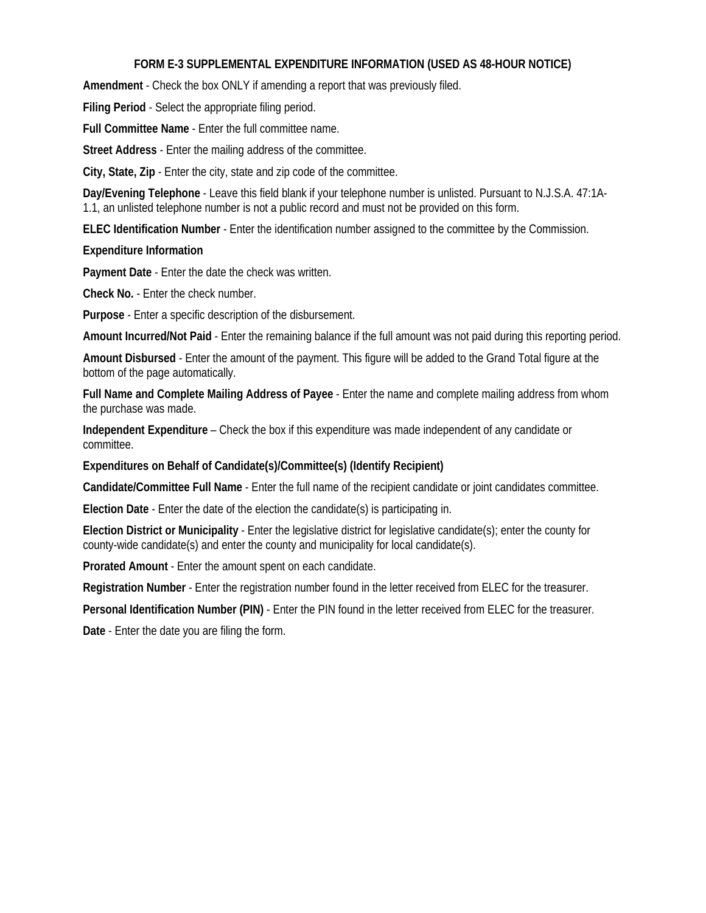## **FORM E-3 SUPPLEMENTAL EXPENDITURE INFORMATION (USED AS 48-HOUR NOTICE)**

**Amendment** - Check the box ONLY if amending a report that was previously filed.

**Filing Period** - Select the appropriate filing period.

**Full Committee Name** - Enter the full committee name.

**Street Address** - Enter the mailing address of the committee.

**City, State, Zip** - Enter the city, state and zip code of the committee.

**Day/Evening Telephone** - Leave this field blank if your telephone number is unlisted. Pursuant to N.J.S.A. 47:1A-1.1, an unlisted telephone number is not a public record and must not be provided on this form.

**ELEC Identification Number** - Enter the identification number assigned to the committee by the Commission.

#### **Expenditure Information**

**Payment Date** - Enter the date the check was written.

**Check No.** - Enter the check number.

**Purpose** - Enter a specific description of the disbursement.

**Amount Incurred/Not Paid** - Enter the remaining balance if the full amount was not paid during this reporting period.

**Amount Disbursed** - Enter the amount of the payment. This figure will be added to the Grand Total figure at the bottom of the page automatically.

**Full Name and Complete Mailing Address of Payee** - Enter the name and complete mailing address from whom the purchase was made.

**Independent Expenditure** – Check the box if this expenditure was made independent of any candidate or committee.

**Expenditures on Behalf of Candidate(s)/Committee(s) (Identify Recipient)** 

**Candidate/Committee Full Name** - Enter the full name of the recipient candidate or joint candidates committee.

**Election Date** - Enter the date of the election the candidate(s) is participating in.

**Election District or Municipality** - Enter the legislative district for legislative candidate(s); enter the county for county-wide candidate(s) and enter the county and municipality for local candidate(s).

**Prorated Amount** - Enter the amount spent on each candidate.

**Registration Number** - Enter the registration number found in the letter received from ELEC for the treasurer.

**Personal Identification Number (PIN)** - Enter the PIN found in the letter received from ELEC for the treasurer.

**Date** - Enter the date you are filing the form.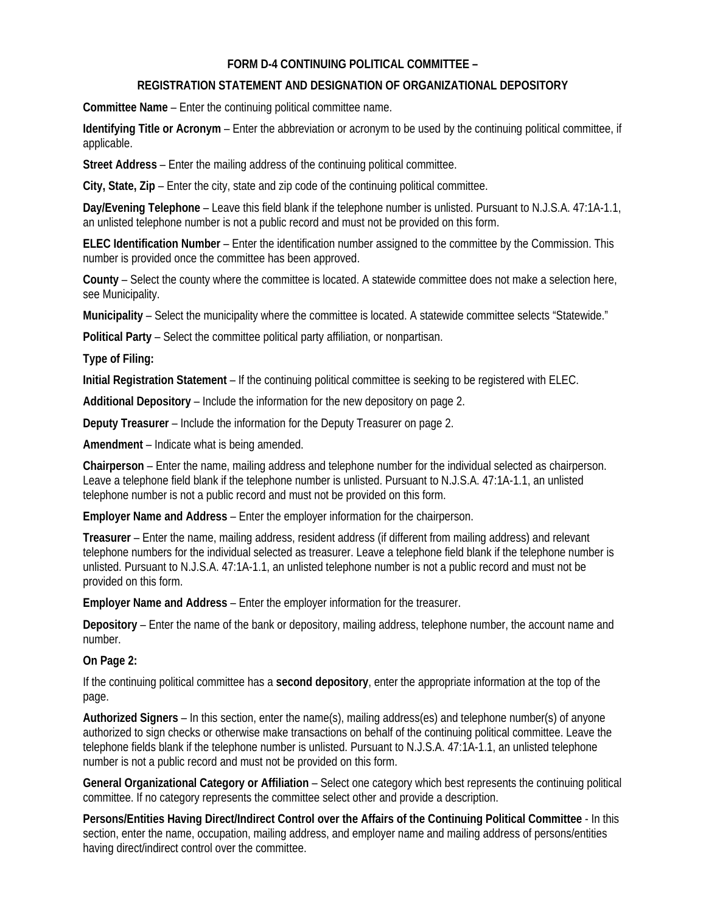## **FORM D-4 CONTINUING POLITICAL COMMITTEE –**

#### **REGISTRATION STATEMENT AND DESIGNATION OF ORGANIZATIONAL DEPOSITORY**

**Committee Name** – Enter the continuing political committee name.

**Identifying Title or Acronym** – Enter the abbreviation or acronym to be used by the continuing political committee, if applicable.

**Street Address** – Enter the mailing address of the continuing political committee.

**City, State, Zip** – Enter the city, state and zip code of the continuing political committee.

**Day/Evening Telephone** – Leave this field blank if the telephone number is unlisted. Pursuant to N.J.S.A. 47:1A-1.1, an unlisted telephone number is not a public record and must not be provided on this form.

**ELEC Identification Number** – Enter the identification number assigned to the committee by the Commission. This number is provided once the committee has been approved.

**County** – Select the county where the committee is located. A statewide committee does not make a selection here, see Municipality.

**Municipality** – Select the municipality where the committee is located. A statewide committee selects "Statewide."

**Political Party** – Select the committee political party affiliation, or nonpartisan.

**Type of Filing:** 

**Initial Registration Statement** – If the continuing political committee is seeking to be registered with ELEC.

**Additional Depository** – Include the information for the new depository on page 2.

**Deputy Treasurer** – Include the information for the Deputy Treasurer on page 2.

**Amendment** – Indicate what is being amended.

**Chairperson** – Enter the name, mailing address and telephone number for the individual selected as chairperson. Leave a telephone field blank if the telephone number is unlisted. Pursuant to N.J.S.A. 47:1A-1.1, an unlisted telephone number is not a public record and must not be provided on this form.

**Employer Name and Address** – Enter the employer information for the chairperson.

**Treasurer** – Enter the name, mailing address, resident address (if different from mailing address) and relevant telephone numbers for the individual selected as treasurer. Leave a telephone field blank if the telephone number is unlisted. Pursuant to N.J.S.A. 47:1A-1.1, an unlisted telephone number is not a public record and must not be provided on this form.

**Employer Name and Address** – Enter the employer information for the treasurer.

**Depository** – Enter the name of the bank or depository, mailing address, telephone number, the account name and number.

#### **On Page 2:**

If the continuing political committee has a **second depository**, enter the appropriate information at the top of the page.

**Authorized Signers** – In this section, enter the name(s), mailing address(es) and telephone number(s) of anyone authorized to sign checks or otherwise make transactions on behalf of the continuing political committee. Leave the telephone fields blank if the telephone number is unlisted. Pursuant to N.J.S.A. 47:1A-1.1, an unlisted telephone number is not a public record and must not be provided on this form.

General Organizational Category or Affiliation – Select one category which best represents the continuing political committee. If no category represents the committee select other and provide a description.

**Persons/Entities Having Direct/Indirect Control over the Affairs of the Continuing Political Committee** - In this section, enter the name, occupation, mailing address, and employer name and mailing address of persons/entities having direct/indirect control over the committee.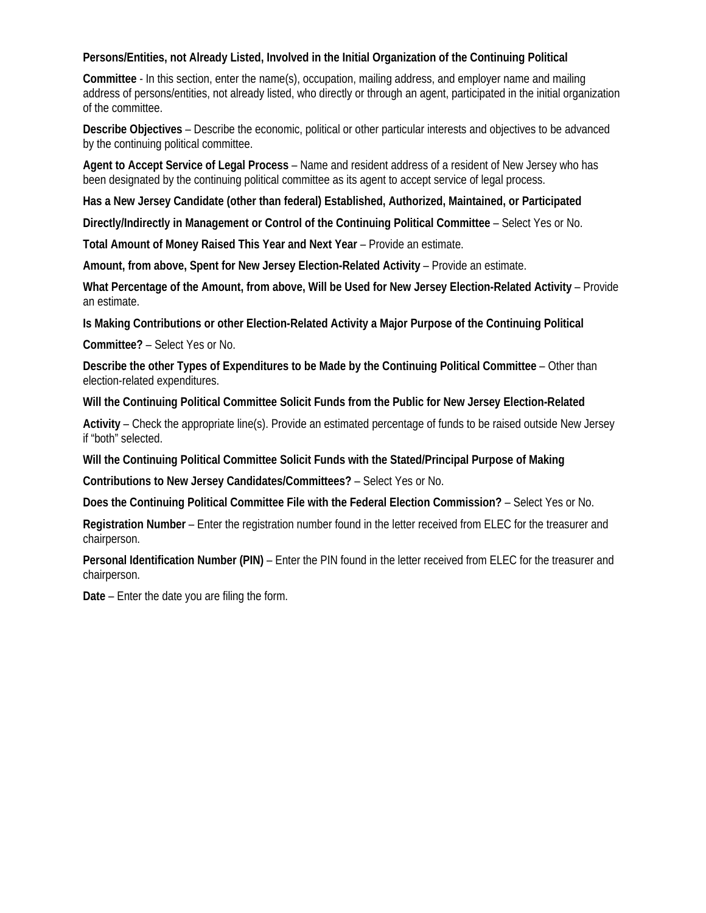## **Persons/Entities, not Already Listed, Involved in the Initial Organization of the Continuing Political**

**Committee** - In this section, enter the name(s), occupation, mailing address, and employer name and mailing address of persons/entities, not already listed, who directly or through an agent, participated in the initial organization of the committee.

**Describe Objectives** – Describe the economic, political or other particular interests and objectives to be advanced by the continuing political committee.

**Agent to Accept Service of Legal Process** – Name and resident address of a resident of New Jersey who has been designated by the continuing political committee as its agent to accept service of legal process.

**Has a New Jersey Candidate (other than federal) Established, Authorized, Maintained, or Participated** 

**Directly/Indirectly in Management or Control of the Continuing Political Committee** – Select Yes or No.

**Total Amount of Money Raised This Year and Next Year** – Provide an estimate.

**Amount, from above, Spent for New Jersey Election-Related Activity** – Provide an estimate.

**What Percentage of the Amount, from above, Will be Used for New Jersey Election-Related Activity** – Provide an estimate.

**Is Making Contributions or other Election-Related Activity a Major Purpose of the Continuing Political** 

**Committee?** – Select Yes or No.

**Describe the other Types of Expenditures to be Made by the Continuing Political Committee** – Other than election-related expenditures.

**Will the Continuing Political Committee Solicit Funds from the Public for New Jersey Election-Related** 

**Activity** – Check the appropriate line(s). Provide an estimated percentage of funds to be raised outside New Jersey if "both" selected.

**Will the Continuing Political Committee Solicit Funds with the Stated/Principal Purpose of Making** 

**Contributions to New Jersey Candidates/Committees?** – Select Yes or No.

**Does the Continuing Political Committee File with the Federal Election Commission?** – Select Yes or No.

**Registration Number** – Enter the registration number found in the letter received from ELEC for the treasurer and chairperson.

**Personal Identification Number (PIN)** – Enter the PIN found in the letter received from ELEC for the treasurer and chairperson.

**Date** – Enter the date you are filing the form.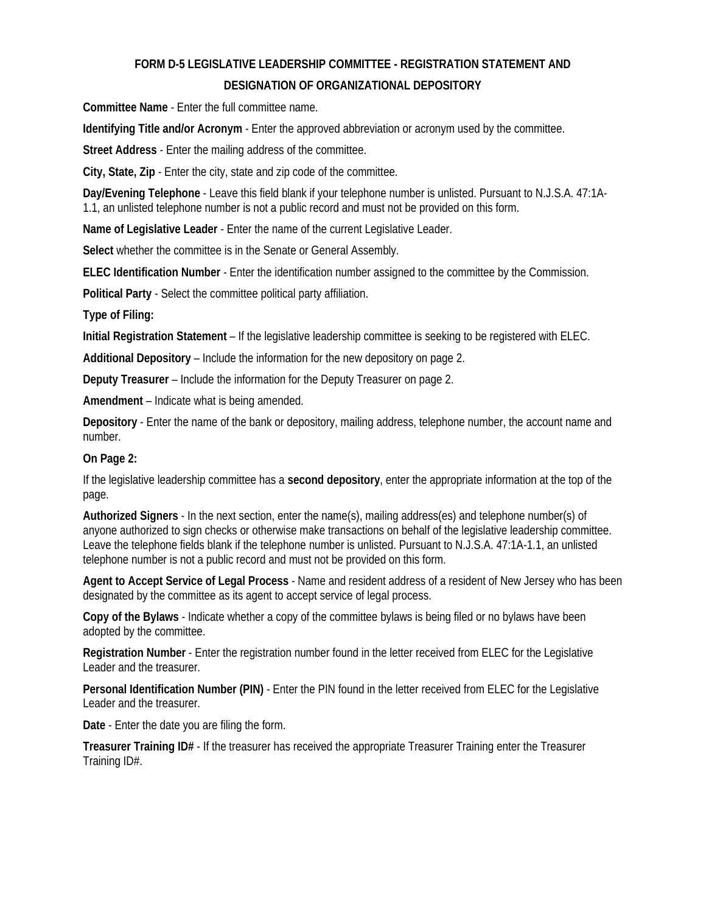## **FORM D-5 LEGISLATIVE LEADERSHIP COMMITTEE - REGISTRATION STATEMENT AND DESIGNATION OF ORGANIZATIONAL DEPOSITORY**

**Committee Name** - Enter the full committee name.

**Identifying Title and/or Acronym** - Enter the approved abbreviation or acronym used by the committee.

**Street Address** - Enter the mailing address of the committee.

**City, State, Zip** - Enter the city, state and zip code of the committee.

**Day/Evening Telephone** - Leave this field blank if your telephone number is unlisted. Pursuant to N.J.S.A. 47:1A-1.1, an unlisted telephone number is not a public record and must not be provided on this form.

**Name of Legislative Leader** - Enter the name of the current Legislative Leader.

**Select** whether the committee is in the Senate or General Assembly.

**ELEC Identification Number** - Enter the identification number assigned to the committee by the Commission.

**Political Party** - Select the committee political party affiliation.

**Type of Filing:** 

**Initial Registration Statement** – If the legislative leadership committee is seeking to be registered with ELEC.

**Additional Depository** – Include the information for the new depository on page 2.

**Deputy Treasurer** – Include the information for the Deputy Treasurer on page 2.

**Amendment** – Indicate what is being amended.

**Depository** - Enter the name of the bank or depository, mailing address, telephone number, the account name and number.

#### **On Page 2:**

If the legislative leadership committee has a **second depository**, enter the appropriate information at the top of the page.

**Authorized Signers** - In the next section, enter the name(s), mailing address(es) and telephone number(s) of anyone authorized to sign checks or otherwise make transactions on behalf of the legislative leadership committee. Leave the telephone fields blank if the telephone number is unlisted. Pursuant to N.J.S.A. 47:1A-1.1, an unlisted telephone number is not a public record and must not be provided on this form.

**Agent to Accept Service of Legal Process** - Name and resident address of a resident of New Jersey who has been designated by the committee as its agent to accept service of legal process.

**Copy of the Bylaws** - Indicate whether a copy of the committee bylaws is being filed or no bylaws have been adopted by the committee.

**Registration Number** - Enter the registration number found in the letter received from ELEC for the Legislative Leader and the treasurer.

**Personal Identification Number (PIN)** - Enter the PIN found in the letter received from ELEC for the Legislative Leader and the treasurer.

**Date** - Enter the date you are filing the form.

**Treasurer Training ID#** - If the treasurer has received the appropriate Treasurer Training enter the Treasurer Training ID#.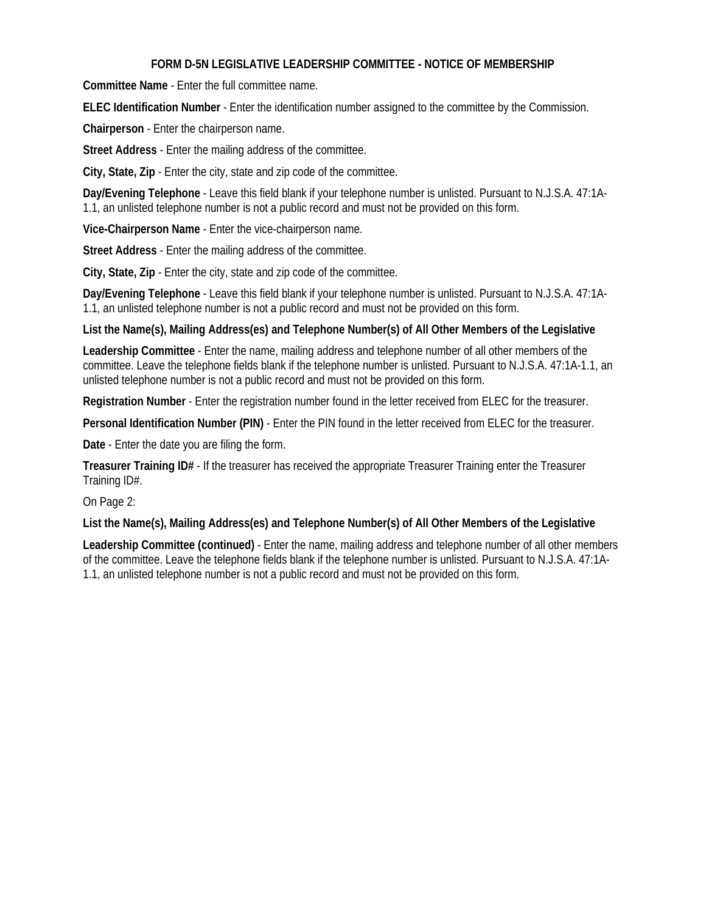## **FORM D-5N LEGISLATIVE LEADERSHIP COMMITTEE - NOTICE OF MEMBERSHIP**

**Committee Name** - Enter the full committee name.

**ELEC Identification Number** - Enter the identification number assigned to the committee by the Commission.

**Chairperson** - Enter the chairperson name.

**Street Address** - Enter the mailing address of the committee.

**City, State, Zip** - Enter the city, state and zip code of the committee.

**Day/Evening Telephone** - Leave this field blank if your telephone number is unlisted. Pursuant to N.J.S.A. 47:1A-1.1, an unlisted telephone number is not a public record and must not be provided on this form.

**Vice-Chairperson Name** - Enter the vice-chairperson name.

**Street Address** - Enter the mailing address of the committee.

**City, State, Zip** - Enter the city, state and zip code of the committee.

**Day/Evening Telephone** - Leave this field blank if your telephone number is unlisted. Pursuant to N.J.S.A. 47:1A-1.1, an unlisted telephone number is not a public record and must not be provided on this form.

#### **List the Name(s), Mailing Address(es) and Telephone Number(s) of All Other Members of the Legislative**

**Leadership Committee** - Enter the name, mailing address and telephone number of all other members of the committee. Leave the telephone fields blank if the telephone number is unlisted. Pursuant to N.J.S.A. 47:1A-1.1, an unlisted telephone number is not a public record and must not be provided on this form.

**Registration Number** - Enter the registration number found in the letter received from ELEC for the treasurer.

**Personal Identification Number (PIN)** - Enter the PIN found in the letter received from ELEC for the treasurer.

**Date** - Enter the date you are filing the form.

**Treasurer Training ID#** - If the treasurer has received the appropriate Treasurer Training enter the Treasurer Training ID#.

On Page 2:

**List the Name(s), Mailing Address(es) and Telephone Number(s) of All Other Members of the Legislative** 

**Leadership Committee (continued)** - Enter the name, mailing address and telephone number of all other members of the committee. Leave the telephone fields blank if the telephone number is unlisted. Pursuant to N.J.S.A. 47:1A-1.1, an unlisted telephone number is not a public record and must not be provided on this form.